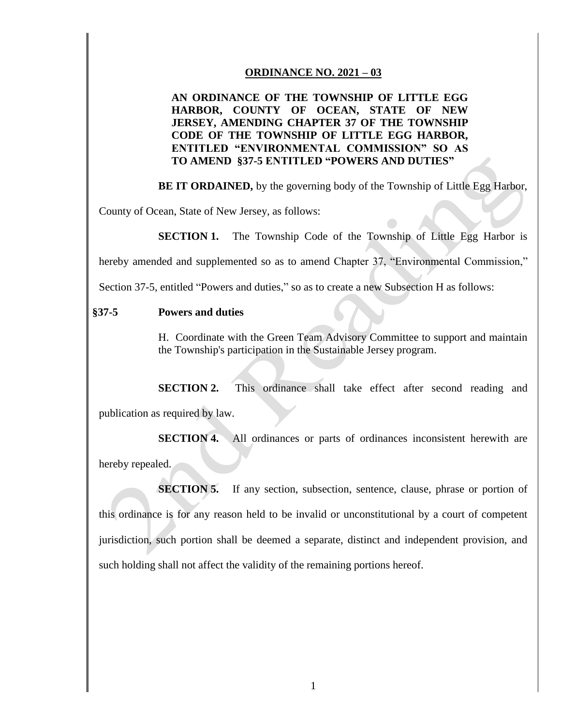## **ORDINANCE NO. 2021 – 03**

## **AN ORDINANCE OF THE TOWNSHIP OF LITTLE EGG HARBOR, COUNTY OF OCEAN, STATE OF NEW JERSEY, AMENDING CHAPTER 37 OF THE TOWNSHIP CODE OF THE TOWNSHIP OF LITTLE EGG HARBOR, ENTITLED "ENVIRONMENTAL COMMISSION" SO AS TO AMEND §37-5 ENTITLED "POWERS AND DUTIES"**

**BE IT ORDAINED,** by the governing body of the Township of Little Egg Harbor,

County of Ocean, State of New Jersey, as follows:

**SECTION 1.** The Township Code of the Township of Little Egg Harbor is

hereby amended and supplemented so as to amend Chapter 37, "Environmental Commission,"

Section 37-5, entitled "Powers and duties," so as to create a new Subsection H as follows:

## **§37-5 Powers and duties**

H. Coordinate with the Green Team Advisory Committee to support and maintain the Township's participation in the Sustainable Jersey program.

**SECTION 2.** This ordinance shall take effect after second reading and publication as required by law.

**SECTION 4.** All ordinances or parts of ordinances inconsistent herewith are hereby repealed.

**SECTION 5.** If any section, subsection, sentence, clause, phrase or portion of this ordinance is for any reason held to be invalid or unconstitutional by a court of competent jurisdiction, such portion shall be deemed a separate, distinct and independent provision, and such holding shall not affect the validity of the remaining portions hereof.